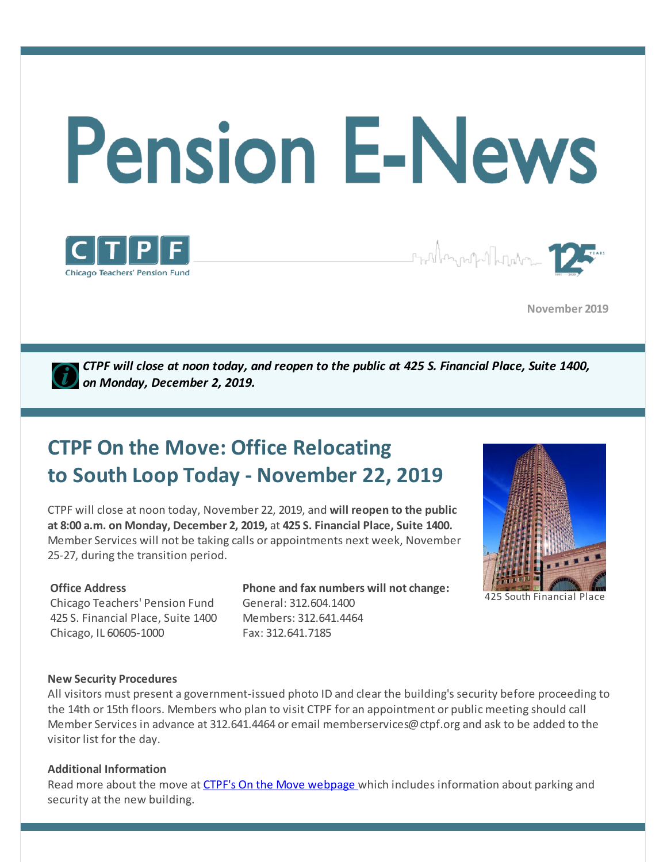

**November 2019**

*CTPF will close at noon today, and reopen to the public at 425 S. Financial Place, Suite 1400, on Monday, December 2, 2019.*

# **CTPF On the Move: Office Relocating to South Loop Today - November 22, 2019**

CTPF will close at noon today, November 22, 2019, and **will reopen to the public at 8:00 a.m. on Monday, December 2, 2019,** at **425 S. Financial Place, Suite 1400.** Member Services will not be taking calls or appointments next week, November 25-27, during the transition period.

#### **Office Address**

Chicago Teachers' Pension Fund 425 S. Financial Place, Suite 1400 Chicago, IL 60605-1000

**Chicago Teachers' Pension Fund** 

**Phone and fax numbers will not change:** General: 312.604.1400 Members: 312.641.4464 Fax: 312.641.7185



<sup>425</sup> South Financial Place

#### **New Security Procedures**

All visitors must present a government-issued photo ID and clear the building's security before proceeding to the 14th or 15th floors. Members who plan to visit CTPF for an appointment or public meeting should call Member Services in advance at 312.641.4464 or email memberservices@ctpf.org and ask to be added to the visitor list for the day.

#### **Additional Information**

Read more about the move at CTPF's On the Move [webpage](http://ctpf.org/onthemove) which includes information about parking and security at the new building.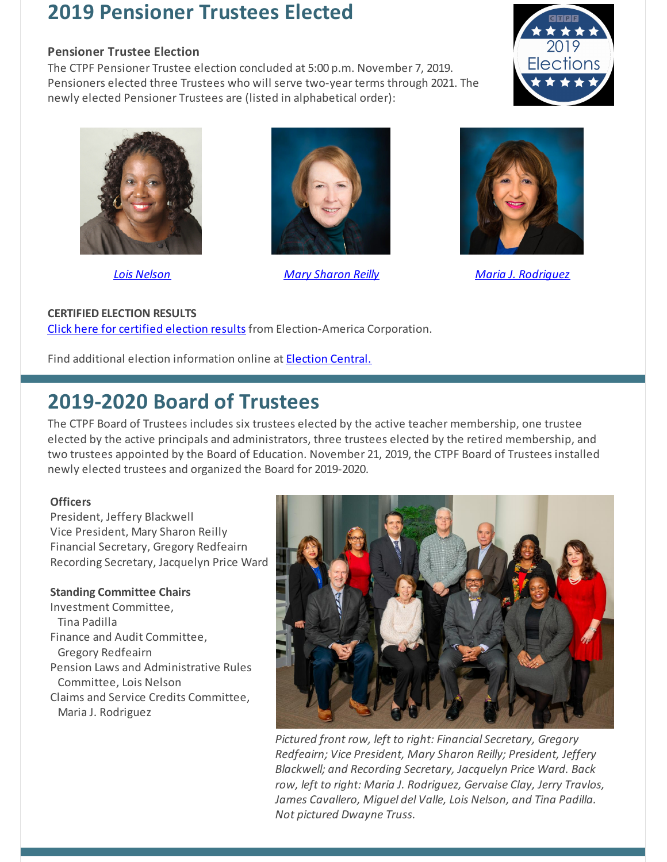### **2019 Pensioner Trustees Elected**

#### **Pensioner Trustee Election**

The CTPF Pensioner Trustee election concluded at 5:00 p.m. November 7, 2019. Pensioners elected three Trustees who will serve two-year terms through 2021. The newly elected Pensioner Trustees are (listed in alphabetical order):





*Lois [Nelson](https://www.ctpf.org/post/lois-nelson) Mary [Sharon](https://www.ctpf.org/post/mary-sharon-reilly) Reilly Maria J. [Rodriguez](https://www.ctpf.org/post/maria-j-rodriguez)*





#### **CERTIFIED ELECTION RESULTS**

Click here for [certified](https://www.ctpf.org/sites/main/files/file-attachments/2019_pensioner_results_0.pdf) election results from Election-America Corporation.

Find additional election information online at **[Election](https://www.ctpf.org/2019-election-central) Central.** 

### **2019-2020 Board of Trustees**

The CTPF Board of Trustees includes six trustees elected by the active teacher membership, one trustee elected by the active principals and administrators, three trustees elected by the retired membership, and two trustees appointed by the Board of Education. November 21, 2019, the CTPF Board of Trustees installed newly elected trustees and organized the Board for 2019-2020.

#### **Officers**

President, Jeffery Blackwell Vice President, Mary Sharon Reilly Financial Secretary, Gregory Redfeairn Recording Secretary, Jacquelyn Price Ward

#### **Standing Committee Chairs**

Investment Committee, Tina Padilla Finance and Audit Committee, Gregory Redfeairn Pension Laws and Administrative Rules Committee, Lois Nelson Claims and Service Credits Committee, Maria J. Rodriguez



*Pictured front row, left to right: Financial Secretary, Gregory Redfeairn; Vice President, Mary Sharon Reilly; President, Jeffery Blackwell; and Recording Secretary, Jacquelyn Price Ward. Back row, left to right: Maria J. Rodriguez, Gervaise Clay, Jerry Travlos, James Cavallero, Miguel del Valle, Lois Nelson, and Tina Padilla. Not pictured Dwayne Truss.*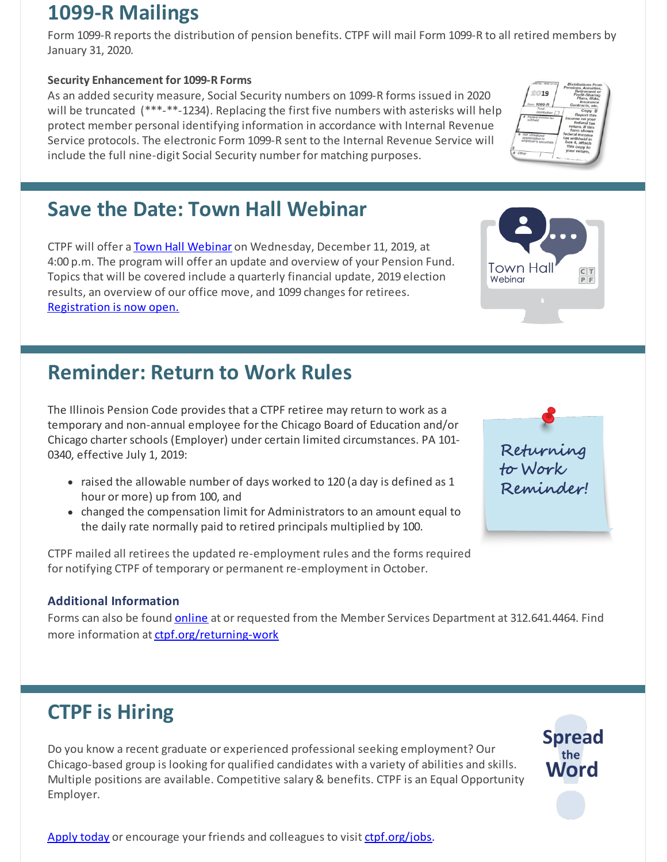### **1099-R Mailings**

Form 1099-R reports the distribution of pension benefits. CTPF will mail Form 1099-R to all retired members by January 31, 2020.

### **Security Enhancement for 1099-R Forms**

As an added security measure, Social Security numbers on 1099-R forms issued in 2020 will be truncated (\*\*\*-\*\*-1234). Replacing the first five numbers with asterisks will help protect member personal identifying information in accordance with Internal Revenue Service protocols. The electronic Form 1099-R sent to the Internal Revenue Service will include the full nine-digit Social Security number for matching purposes.

### **Save the Date: Town Hall Webinar**

CTPF will offer a Town Hall [Webinar](https://register.gotowebinar.com/register/2770035230507863051) on Wednesday, December 11, 2019, at 4:00 p.m. The program will offer an update and overview of your Pension Fund. Topics that will be covered include a quarterly financial update, 2019 election results, an overview of our office move, and 1099 changes for retirees. [Registration](https://register.gotowebinar.com/register/2770035230507863051) is now open.

## **Reminder: Return to Work Rules**

The Illinois Pension Code provides that a CTPF retiree may return to work as a temporary and non-annual employee for the Chicago Board of Education and/or Chicago charterschools (Employer) under certain limited circumstances. PA 101- 0340, effective July 1, 2019:

- raised the allowable number of days worked to 120 (a day is defined as 1 hour or more) up from 100, and
- changed the compensation limit for Administrators to an amount equal to the daily rate normally paid to retired principals multiplied by 100.

CTPF mailed all retirees the updated re-employment rules and the forms required for notifying CTPF of temporary or permanent re-employment in October.

### **Additional Information**

Forms can also be found [online](https://www.ctpf.org/returning-work) at or requested from the Member Services Department at 312.641.4464. Find more information at [ctpf.org/returning-work](https://www.ctpf.org/returning-work)

## **CTPF is Hiring**

Do you know a recent graduate or experienced professional seeking employment? Our Chicago-based group is looking for qualified candidates with a variety of abilities and skills. Multiple positions are available. Competitive salary & benefits. CTPF is an Equal Opportunity Employer.

[Apply](https://bit.ly/2IpJhUF) today or encourage your friends and colleagues to visit [ctpf.org/jobs](http://www.ctpf.org/jobs).





 $rac{T}{P}$ 

Town Hall

Webinar



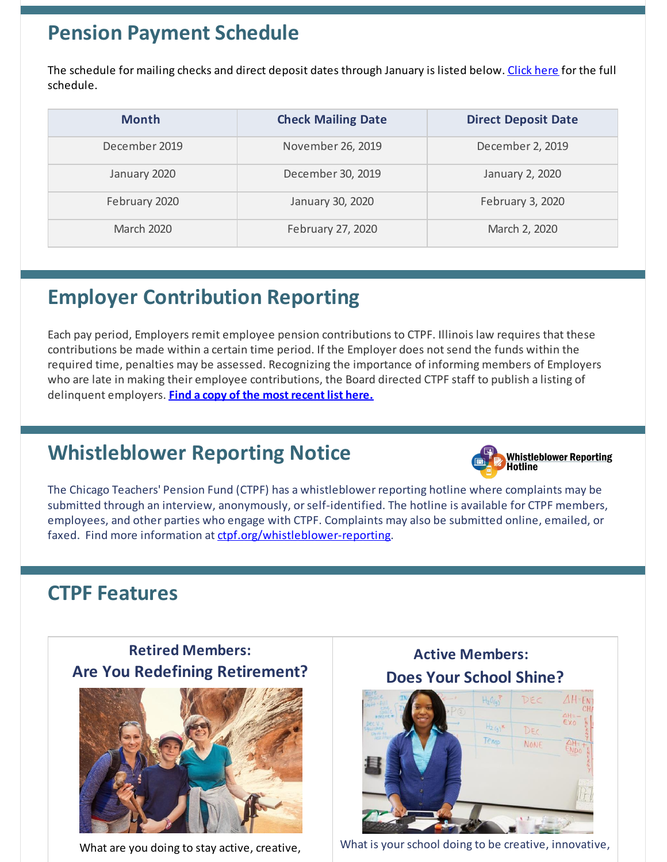### **Pension Payment Schedule**

The schedule for mailing checks and direct deposit dates through January is listed below. [Click](https://www.ctpf.org/pension-payments) here for the full schedule.

| <b>Month</b>      | <b>Check Mailing Date</b> | <b>Direct Deposit Date</b> |
|-------------------|---------------------------|----------------------------|
| December 2019     | November 26, 2019         | December 2, 2019           |
| January 2020      | December 30, 2019         | January 2, 2020            |
| February 2020     | January 30, 2020          | February 3, 2020           |
| <b>March 2020</b> | February 27, 2020         | March 2, 2020              |

# **Employer Contribution Reporting**

Each pay period, Employers remit employee pension contributions to CTPF. Illinois law requires that these contributions be made within a certain time period. If the Employer does not send the funds within the required time, penalties may be assessed. Recognizing the importance of informing members of Employers who are late in making their employee contributions, the Board directed CTPF staff to publish a listing of delinquent employers. **Find a copy of the most [recent](http://ctpf.org/employer-contribution-reporting) list here.**

## **Whistleblower Reporting Notice**



The Chicago Teachers' Pension Fund (CTPF) has a whistleblower reporting hotline where complaints may be submitted through an interview, anonymously, orself-identified. The hotline is available for CTPF members, employees, and other parties who engage with CTPF. Complaints may also be submitted online, emailed, or faxed. Find more information at [ctpf.org/whistleblower-reporting](http://ctpf.org/whistleblower-reporting).

### **CTPF Features**

### **Retired Members: Are You Redefining Retirement?**



What are you doing to stay active, creative,

**Active Members: Does Your School Shine?**



What is your school doing to be creative, innovative,